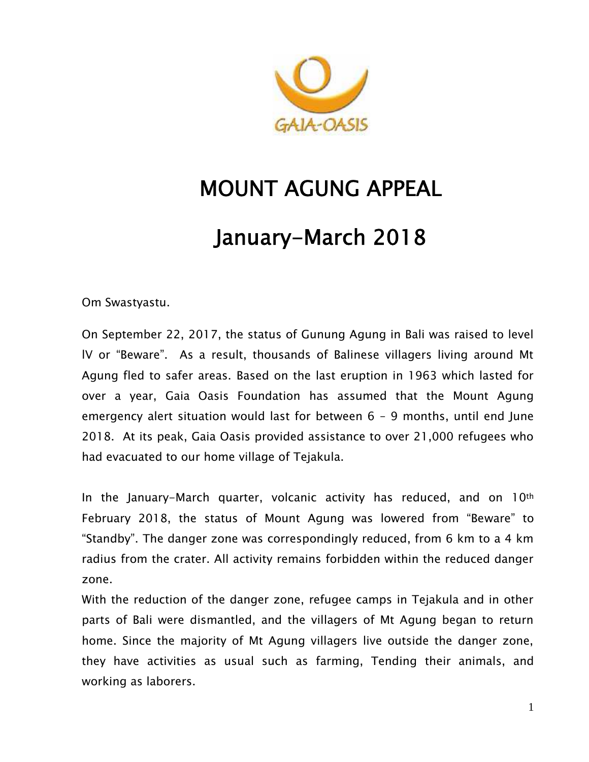

# **MOUNT AGUNG APPEAL**

# **January-March 2018**

Om Swastyastu.

On September 22, 2017, the status of Gunung Agung in Bali was raised to level lV or "Beware". As a result, thousands of Balinese villagers living around Mt Agung fled to safer areas. Based on the last eruption in 1963 which lasted for over a year, Gaia Oasis Foundation has assumed that the Mount Agung emergency alert situation would last for between  $6 - 9$  months, until end June 2018. At its peak, Gaia Oasis provided assistance to over 21,000 refugees who had evacuated to our home village of Tejakula.

In the January-March quarter, volcanic activity has reduced, and on 10th February 2018, the status of Mount Agung was lowered from "Beware" to "Standby". The danger zone was correspondingly reduced, from 6 km to a 4 km radius from the crater. All activity remains forbidden within the reduced danger zone.

With the reduction of the danger zone, refugee camps in Tejakula and in other parts of Bali were dismantled, and the villagers of Mt Agung began to return home. Since the majority of Mt Agung villagers live outside the danger zone, they have activities as usual such as farming, Tending their animals, and working as laborers.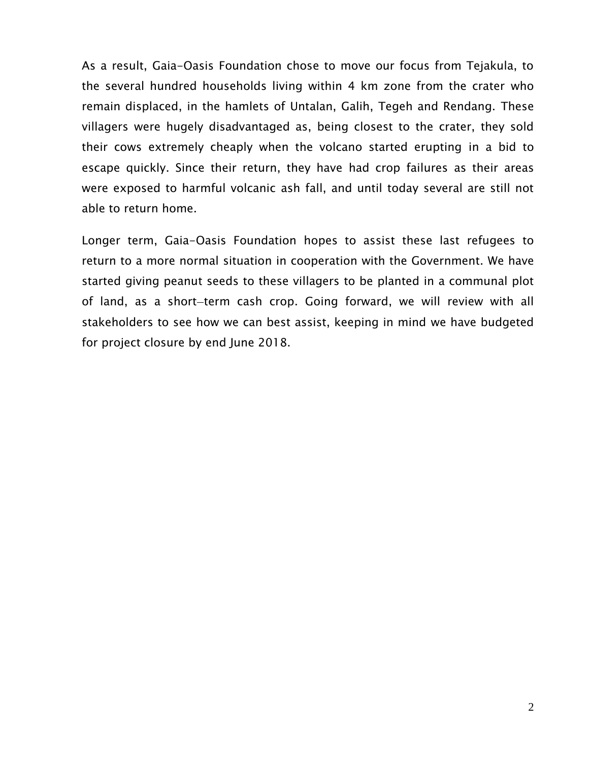As a result, Gaia-Oasis Foundation chose to move our focus from Tejakula, to the several hundred households living within 4 km zone from the crater who remain displaced, in the hamlets of Untalan, Galih, Tegeh and Rendang. These villagers were hugely disadvantaged as, being closest to the crater, they sold their cows extremely cheaply when the volcano started erupting in a bid to escape quickly. Since their return, they have had crop failures as their areas were exposed to harmful volcanic ash fall, and until today several are still not able to return home.

Longer term, Gaia-Oasis Foundation hopes to assist these last refugees to return to a more normal situation in cooperation with the Government. We have started giving peanut seeds to these villagers to be planted in a communal plot of land, as a short-term cash crop. Going forward, we will review with all stakeholders to see how we can best assist, keeping in mind we have budgeted for project closure by end June 2018.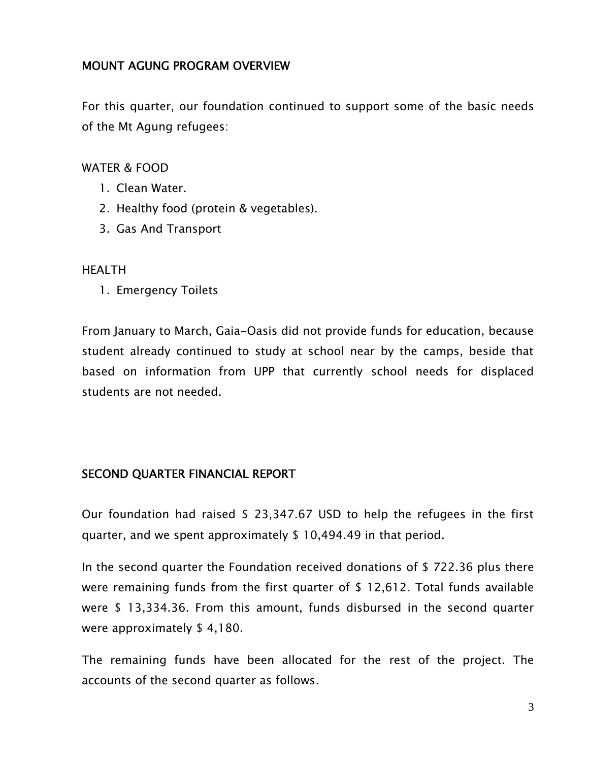# **MOUNT AGUNG PROGRAM OVERVIEW**

For this quarter, our foundation continued to support some of the basic needs of the Mt Agung refugees:

### WATER & FOOD

- 1. Clean Water.
- 2. Healthy food (protein & vegetables).
- 3. Gas And Transport

### HEALTH

1. Emergency Toilets

From January to March, Gaia-Oasis did not provide funds for education, because student already continued to study at school near by the camps, beside that based on information from UPP that currently school needs for displaced students are not needed.

### **SECOND QUARTER FINANCIAL REPORT**

Our foundation had raised \$ 23,347.67 USD to help the refugees in the first quarter, and we spent approximately \$ 10,494.49 in that period.

In the second quarter the Foundation received donations of \$ 722.36 plus there were remaining funds from the first quarter of \$ 12,612. Total funds available were \$ 13,334.36. From this amount, funds disbursed in the second quarter were approximately \$ 4,180.

The remaining funds have been allocated for the rest of the project. The accounts of the second quarter as follows.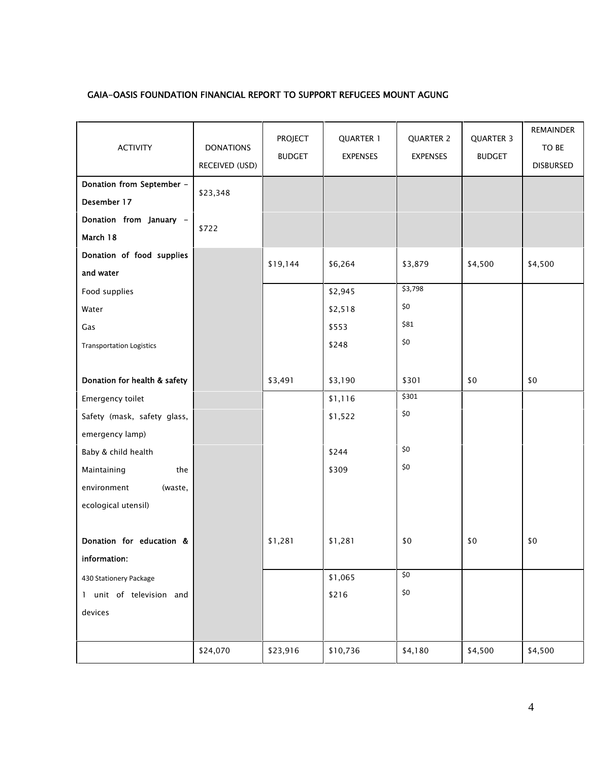#### **GAIA-OASIS FOUNDATION FINANCIAL REPORT TO SUPPORT REFUGEES MOUNT AGUNG**

| <b>ACTIVITY</b>                 | <b>DONATIONS</b><br>RECEIVED (USD) | <b>PROJECT</b><br><b>BUDGET</b> | <b>QUARTER 1</b><br><b>EXPENSES</b> | QUARTER 2<br><b>EXPENSES</b> | <b>QUARTER 3</b><br><b>BUDGET</b> | <b>REMAINDER</b><br>TO BE<br><b>DISBURSED</b> |
|---------------------------------|------------------------------------|---------------------------------|-------------------------------------|------------------------------|-----------------------------------|-----------------------------------------------|
| Donation from September -       |                                    |                                 |                                     |                              |                                   |                                               |
| Desember 17                     | \$23,348                           |                                 |                                     |                              |                                   |                                               |
| Donation from January -         | \$722                              |                                 |                                     |                              |                                   |                                               |
| March 18                        |                                    |                                 |                                     |                              |                                   |                                               |
| Donation of food supplies       |                                    |                                 |                                     |                              |                                   |                                               |
| and water                       |                                    | \$19,144                        | \$6,264                             | \$3,879                      | \$4,500                           | \$4,500                                       |
| Food supplies                   |                                    |                                 | \$2,945                             | \$3,798                      |                                   |                                               |
| Water                           |                                    |                                 | \$2,518                             | \$0                          |                                   |                                               |
| Gas                             |                                    |                                 | \$553                               | \$81                         |                                   |                                               |
| <b>Transportation Logistics</b> |                                    |                                 | \$248                               | \$0                          |                                   |                                               |
|                                 |                                    |                                 |                                     |                              |                                   |                                               |
| Donation for health & safety    |                                    | \$3,491                         | \$3,190                             | \$301                        | \$0                               | \$0                                           |
| Emergency toilet                |                                    |                                 | \$1,116                             | \$301                        |                                   |                                               |
| Safety (mask, safety glass,     |                                    |                                 | \$1,522                             | $$0$$                        |                                   |                                               |
| emergency lamp)                 |                                    |                                 |                                     |                              |                                   |                                               |
| Baby & child health             |                                    |                                 | \$244                               | $$0$$                        |                                   |                                               |
| the<br>Maintaining              |                                    |                                 | \$309                               | $$0$$                        |                                   |                                               |
| environment<br>(waste,          |                                    |                                 |                                     |                              |                                   |                                               |
| ecological utensil)             |                                    |                                 |                                     |                              |                                   |                                               |
|                                 |                                    |                                 |                                     |                              |                                   |                                               |
| Donation for education &        |                                    | \$1,281                         | \$1,281                             | \$0                          | \$0                               | \$0                                           |
| information:                    |                                    |                                 |                                     |                              |                                   |                                               |
| 430 Stationery Package          |                                    |                                 | \$1,065                             | $\overline{\xi}$             |                                   |                                               |
| 1 unit of television and        |                                    |                                 | \$216                               | $$0$$                        |                                   |                                               |
| devices                         |                                    |                                 |                                     |                              |                                   |                                               |
|                                 |                                    |                                 |                                     |                              |                                   |                                               |
|                                 | \$24,070                           | \$23,916                        | \$10,736                            | \$4,180                      | \$4,500                           | \$4,500                                       |
|                                 |                                    |                                 |                                     |                              |                                   |                                               |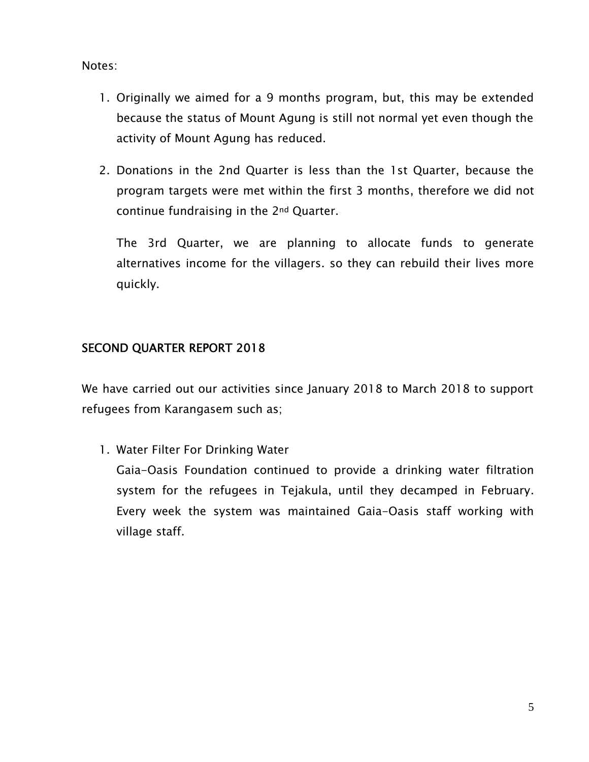Notes:

- 1. Originally we aimed for a 9 months program, but, this may be extended because the status of Mount Agung is still not normal yet even though the activity of Mount Agung has reduced.
- 2. Donations in the 2nd Quarter is less than the 1st Quarter, because the program targets were met within the first 3 months, therefore we did not continue fundraising in the 2nd Quarter.

The 3rd Quarter, we are planning to allocate funds to generate alternatives income for the villagers. so they can rebuild their lives more quickly.

# **SECOND QUARTER REPORT 2018**

We have carried out our activities since January 2018 to March 2018 to support refugees from Karangasem such as;

1. Water Filter For Drinking Water

Gaia-Oasis Foundation continued to provide a drinking water filtration system for the refugees in Tejakula, until they decamped in February. Every week the system was maintained Gaia-Oasis staff working with village staff.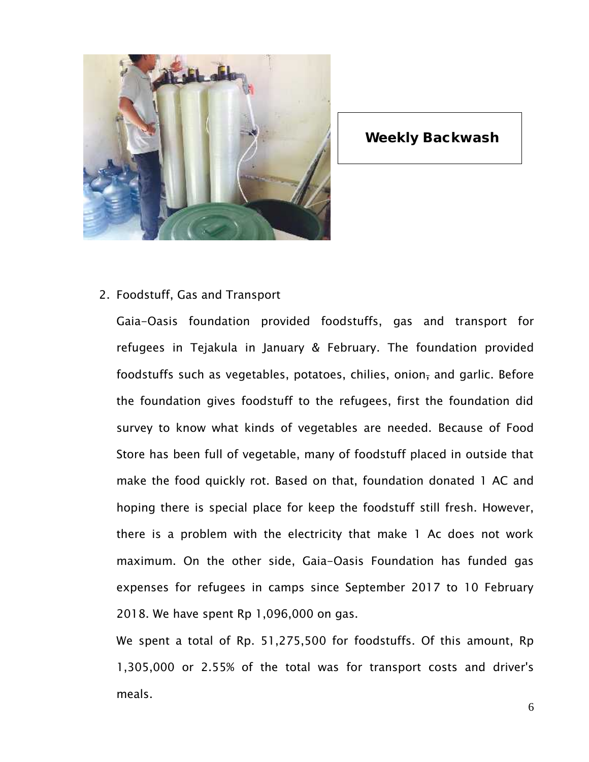

## **Weekly Backwash**

2. Foodstuff, Gas and Transport

Gaia-Oasis foundation provided foodstuffs, gas and transport for refugees in Tejakula in January & February. The foundation provided foodstuffs such as vegetables, potatoes, chilies, onion, and garlic. Before the foundation gives foodstuff to the refugees, first the foundation did survey to know what kinds of vegetables are needed. Because of Food Store has been full of vegetable, many of foodstuff placed in outside that make the food quickly rot. Based on that, foundation donated 1 AC and hoping there is special place for keep the foodstuff still fresh. However, there is a problem with the electricity that make 1 Ac does not work maximum. On the other side, Gaia-Oasis Foundation has funded gas expenses for refugees in camps since September 2017 to 10 February 2018. We have spent Rp 1,096,000 on gas.

We spent a total of Rp. 51,275,500 for foodstuffs. Of this amount, Rp 1,305,000 or 2.55% of the total was for transport costs and driver's meals.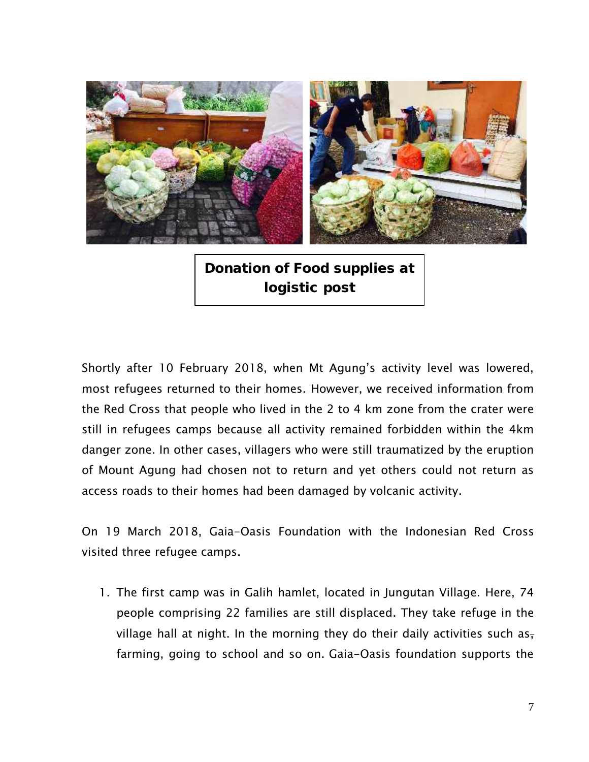

**Donation of Food supplies at logistic post**

Shortly after 10 February 2018, when Mt Agung's activity level was lowered, most refugees returned to their homes. However, we received information from the Red Cross that people who lived in the 2 to 4 km zone from the crater were still in refugees camps because all activity remained forbidden within the 4km danger zone. In other cases, villagers who were still traumatized by the eruption of Mount Agung had chosen not to return and yet others could not return as access roads to their homes had been damaged by volcanic activity.

On 19 March 2018, Gaia-Oasis Foundation with the Indonesian Red Cross visited three refugee camps.

1. The first camp was in Galih hamlet, located in Jungutan Village. Here, 74 people comprising 22 families are still displaced. They take refuge in the village hall at night. In the morning they do their daily activities such as, farming, going to school and so on. Gaia-Oasis foundation supports the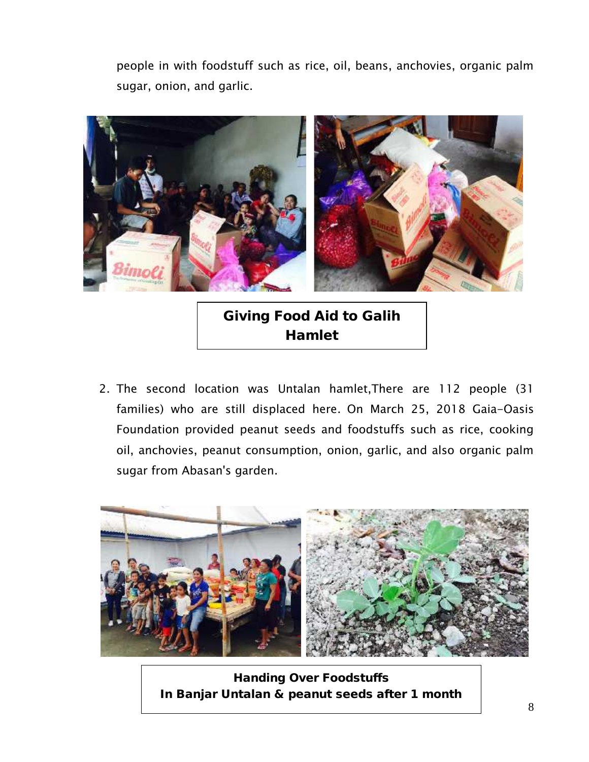people in with foodstuff such as rice, oil, beans, anchovies, organic palm sugar, onion, and garlic.



**Giving Food Aid to Galih Hamlet**

2. The second location was Untalan hamlet,There are 112 people (31 families) who are still displaced here. On March 25, 2018 Gaia-Oasis Foundation provided peanut seeds and foodstuffs such as rice, cooking oil, anchovies, peanut consumption, onion, garlic, and also organic palm sugar from Abasan's garden.



**Handing Over Foodstuffs In Banjar Untalan & peanut seeds after 1 month**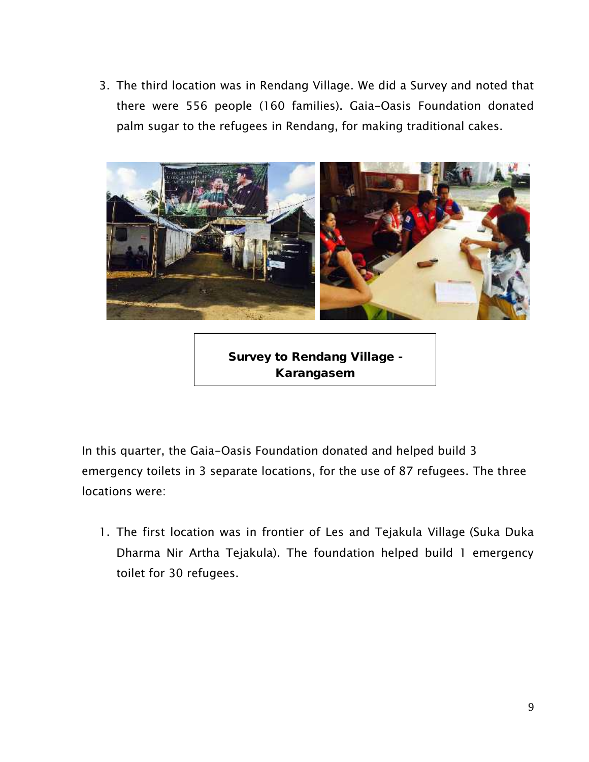3. The third location was in Rendang Village. We did a Survey and noted that there were 556 people (160 families). Gaia-Oasis Foundation donated palm sugar to the refugees in Rendang, for making traditional cakes.



**Survey to Rendang Village - Karangasem**

In this quarter, the Gaia-Oasis Foundation donated and helped build 3 emergency toilets in 3 separate locations, for the use of 87 refugees. The three locations were:

1. The first location was in frontier of Les and Tejakula Village (Suka Duka Dharma Nir Artha Tejakula). The foundation helped build 1 emergency toilet for 30 refugees.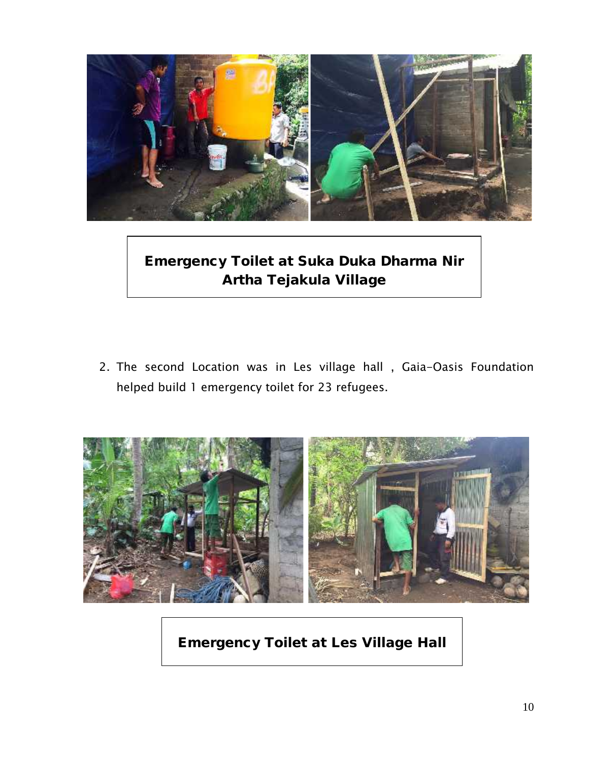

**Emergency Toilet at Suka Duka Dharma Nir Artha Tejakula Village**

2. The second Location was in Les village hall , Gaia-Oasis Foundation helped build 1 emergency toilet for 23 refugees.



**Emergency Toilet at Les Village Hall**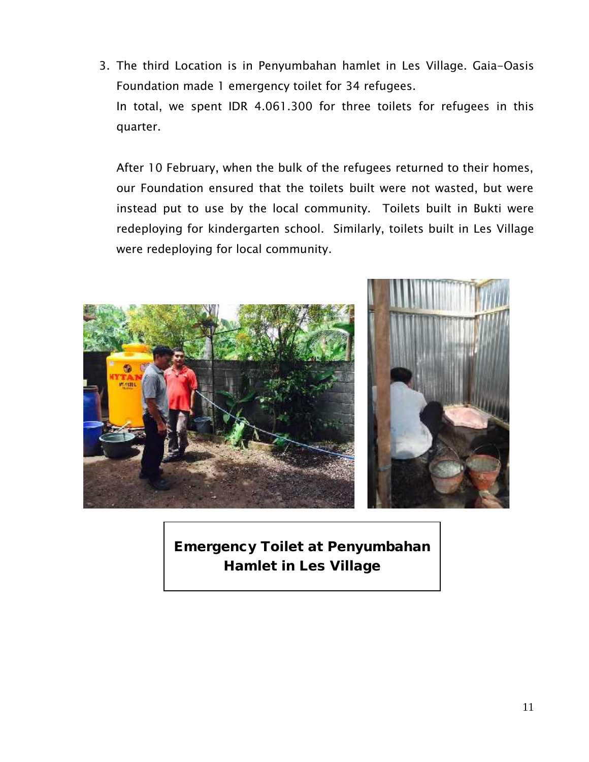3. The third Location is in Penyumbahan hamlet in Les Village. Gaia-Oasis Foundation made 1 emergency toilet for 34 refugees. In total, we spent IDR 4.061.300 for three toilets for refugees in this quarter.

After 10 February, when the bulk of the refugees returned to their homes, our Foundation ensured that the toilets built were not wasted, but were instead put to use by the local community. Toilets built in Bukti were redeploying for kindergarten school. Similarly, toilets built in Les Village were redeploying for local community.



**Emergency Toilet at Penyumbahan Hamlet in Les Village**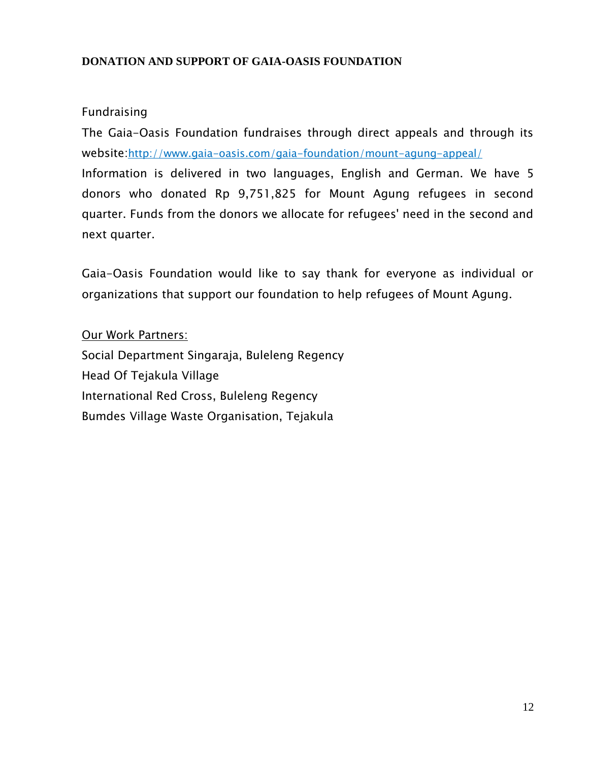## **DONATION AND SUPPORT OF GAIA-OASIS FOUNDATION**

# Fundraising

The Gaia-Oasis Foundation fundraises through direct appeals and through its website:http://www.gaia-oasis.com/gaia-foundation/mount-agung-appeal/

Information is delivered in two languages, English and German. We have 5 donors who donated Rp 9,751,825 for Mount Agung refugees in second quarter. Funds from the donors we allocate for refugees' need in the second and next quarter.

Gaia-Oasis Foundation would like to say thank for everyone as individual or organizations that support our foundation to help refugees of Mount Agung.

Our Work Partners: Social Department Singaraja, Buleleng Regency Head Of Tejakula Village International Red Cross, Buleleng Regency Bumdes Village Waste Organisation, Tejakula